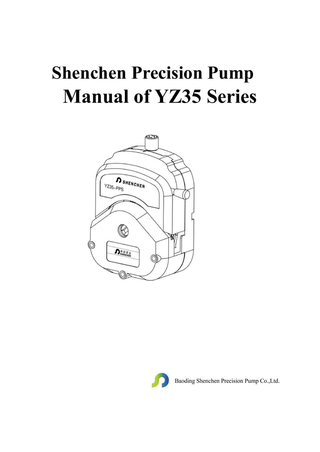# **Shenchen Precision Pump Manual of YZ35 Series**





Baoding Shenchen Precision Pump Co., Ltd.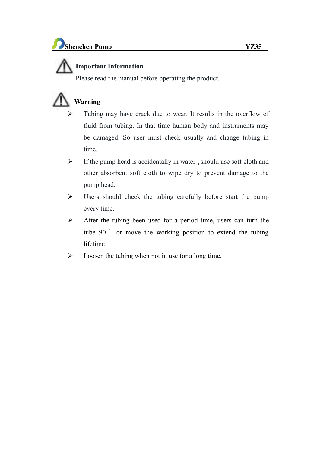### **Important Information**

Please read the manual before operating the product.

## **Warning**

- Tubing may have crack due to wear.It results in the overflow of fluid from tubing. In that time human body and instruments may be damaged. So user must check usually and change tubing in time.
- $\triangleright$  If the pump head is accidentally in water, should use soft cloth and other absorbent soft cloth to wipe dry to prevent damage to the pump head.
- $\triangleright$  Users should check the tubing carefully before start the pump every time.
- $\triangleright$  After the tubing been used for a period time, users can turn the tube 90 ° or move the working position to extend the tubing lifetime.
- $\triangleright$  Loosen the tubing when not in use for a long time.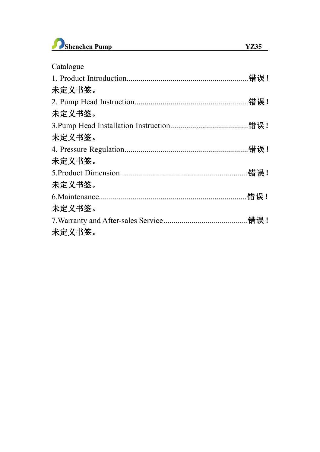

| Catalogue |  |
|-----------|--|
|           |  |
| 未定义书签。    |  |
|           |  |
| 未定义书签。    |  |
|           |  |
| 未定义书签。    |  |
|           |  |
| 未定义书签。    |  |
|           |  |
| 未定义书签。    |  |
|           |  |
| 未定义书签。    |  |
|           |  |
|           |  |

### 未定义书签。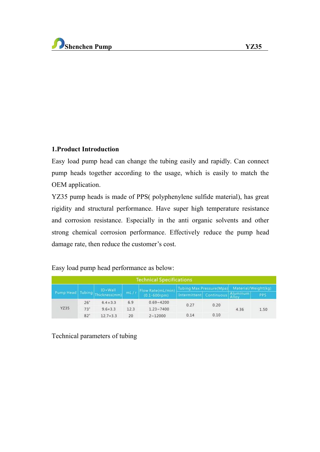#### **1.Product Introduction**

Easy load pump head can change the tubing easily and rapidly. Can connect pump heads together according to the usage, which is easily to match the OEM application.

YZ35 pump heads is made of PPS( polyphenylene sulfide material), has great rigidity and structural performance. Have super high temperature resistance and corrosion resistance. Especially in the anti organic solvents and other strong chemical corrosion performance. Effectively reduce the pump head damage rate, then reduce the customer's cost.

### Easy load pump head performance as below:

| <b>Technical Specifications</b> |                                |                   |      |                                        |                                              |  |      |      |
|---------------------------------|--------------------------------|-------------------|------|----------------------------------------|----------------------------------------------|--|------|------|
|                                 | Pump Head Tubing Thickness(mm) | <b>IDxWall</b>    | mL/r | Flow Rate(mL/min)<br>$(0.1 - 600$ rpm) | Tubing Max.Pressure(Mpa) Material/Weight(kg) |  |      |      |
|                                 |                                |                   |      |                                        | Intermittent Continuous Aluminum             |  |      | PPS  |
| <b>YZ35</b>                     | 26"                            | $6.4 \times 3.3$  | 6.9  | $0.69 - 4200$                          | 0.27<br>0.20<br>0.10<br>0.14                 |  | 4.36 |      |
|                                 | 73 <sup>°</sup>                | $9.6 \times 3.3$  | 12.3 | $1.23 - 7400$                          |                                              |  |      | 1.50 |
|                                 | $82^\circ$                     | $12.7 \times 3.3$ | 20   | $2 - 12000$                            |                                              |  |      |      |

Technical parameters of tubing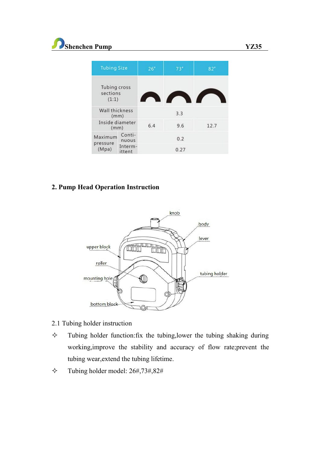| <b>Tubing Size</b>                       |                   | 26 <sup>°</sup> | 73'  | 82"  |  |
|------------------------------------------|-------------------|-----------------|------|------|--|
| <b>Tubing cross</b><br>sections<br>(1:1) |                   |                 |      |      |  |
| Wall thickness<br>(mm)                   |                   |                 | 3.3  |      |  |
| Inside diameter<br>(mm)                  |                   | 6.4             | 9.6  | 12.7 |  |
| Maximum<br>pressure<br>(Mpa)             | Conti-<br>nuous   |                 | 0.2  |      |  |
|                                          | Interm-<br>ittent |                 | 0.27 |      |  |

### **2. Pump Head Operation Instruction**



- 2.1 Tubing holder instruction
- $\Diamond$  Tubing holder function: fix the tubing, lower the tubing shaking during working,improve the stability and accuracy of flow rate;prevent the tubing wear,extend the tubing lifetime.
- $\div$  Tubing holder model: 26#,73#,82#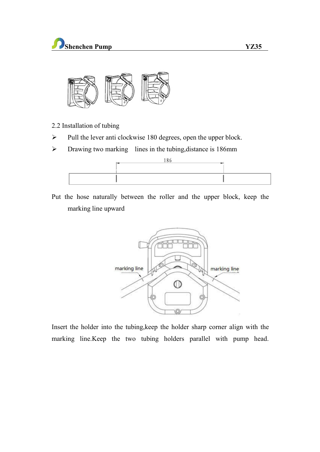

- 2.2 Installation of tubing
- $\triangleright$  Pull the lever anti clockwise 180 degrees, open the upper block.
- $\triangleright$  Drawing two marking lines in the tubing, distance is 186mm



Put the hose naturally between the roller and the upper block, keep the marking line upward



Insert the holder into the tubing,keep the holder sharp corner align with the marking line.Keep the two tubing holders parallel with pump head.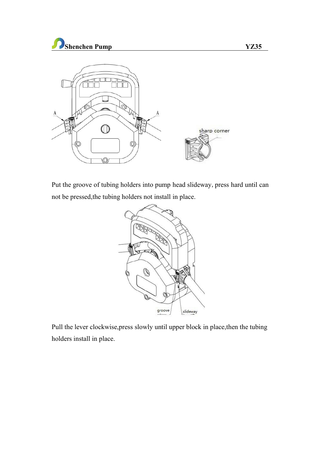



Put the groove of tubing holders into pump head slideway, press hard until can not be pressed,the tubing holders not install in place.



Pull the lever clockwise,press slowly until upper block in place,then the tubing holders install in place.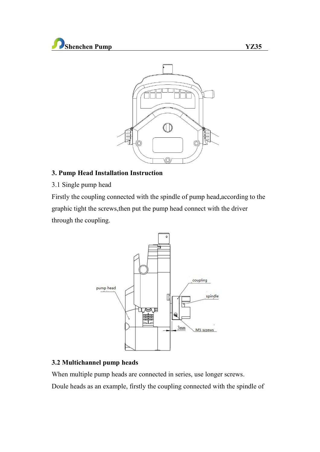

### **3. Pump Head Installation Instruction**

3.1 Single pump head

Firstly the coupling connected with the spindle of pump head,according to the graphic tight the screws,then put the pump head connect with the driver through the coupling.



### **3.2 Multichannel pump heads**

When multiple pump heads are connected in series, use longer screws.

Doule heads as an example, firstly the coupling connected with the spindle of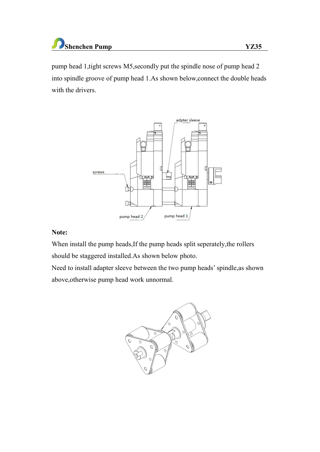### **Shenchen Pump YZ35**

pump head 1,tight screws M5,secondly put the spindle nose of pump head 2 into spindle groove of pump head 1.As shown below, connect the double heads with the drivers.



### **Note:**

When install the pump heads, If the pump heads split seperately, the rollers should be staggered installed.As shown below photo.

Need to install adapter sleeve between the two pump heads'spindle,as shown above,otherwise pump head work unnormal.

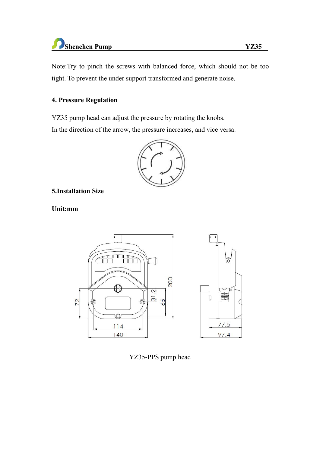### **Shenchen Pump YZ35**

Note:Try to pinch the screws with balanced force, which should not be too tight. To prevent the under support transformed and generate noise.

### **4. Pressure Regulation**

YZ35 pump head can adjust the pressure by rotating the knobs.

In the direction of the arrow, the pressure increases, and vice versa.



### **5.Installation Size**

**Unit:mm**





YZ35-PPS pump head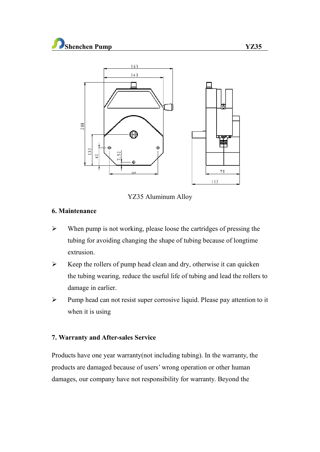

YZ35 Aluminum Alloy

### **6. Maintenance**

- $\triangleright$  When pump is not working, please loose the cartridges of pressing the tubing for avoiding changing the shape of tubing because of longtime extrusion.
- $\triangleright$  Keep the rollers of pump head clean and dry, otherwise it can quicken the tubing wearing, reduce the useful life of tubing and lead the rollers to damage in earlier.
- $\triangleright$  Pump head can not resist super corrosive liquid. Please pay attention to it when it is using

### **7. Warranty and After-sales Service**

Products have one year warranty(not including tubing). In the warranty, the products are damaged because of users' wrong operation or other human damages, our company have not responsibility for warranty. Beyond the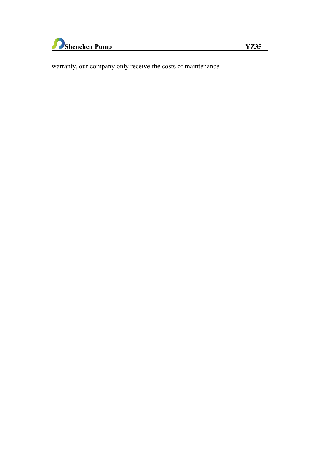

warranty, our company only receive the costs of maintenance.